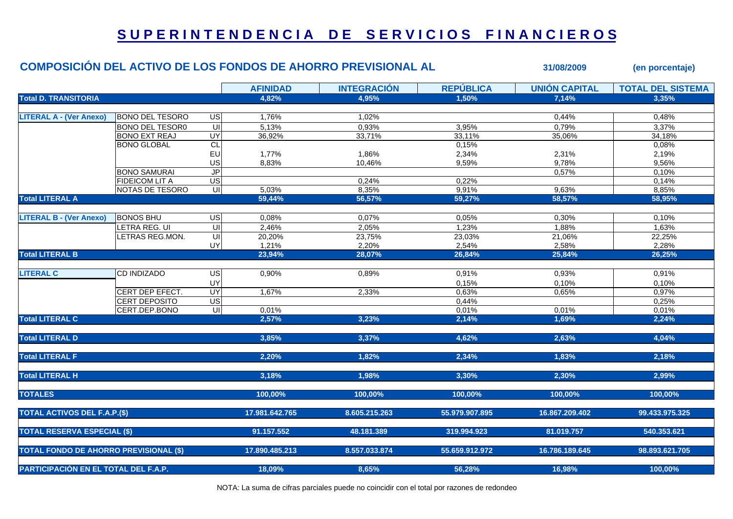## **S U P E R I N T E N D E N C I A D E S E R V I C I O S F I N A N C I E R O S**

|                                               |                        |                          |                 | <b>COMPOSICIÓN DEL ACTIVO DE LOS FONDOS DE AHORRO PREVISIONAL AL</b> | 31/08/2009       | (en porcentaje)      |                          |
|-----------------------------------------------|------------------------|--------------------------|-----------------|----------------------------------------------------------------------|------------------|----------------------|--------------------------|
|                                               |                        |                          | <b>AFINIDAD</b> | <b>INTEGRACIÓN</b>                                                   | <b>REPÚBLICA</b> | <b>UNIÓN CAPITAL</b> | <b>TOTAL DEL SISTEMA</b> |
| <b>Total D. TRANSITORIA</b>                   |                        |                          | 4.82%           | 4,95%                                                                | 1.50%            | 7,14%                | 3.35%                    |
| <b>LITERAL A - (Ver Anexo)</b>                | <b>BONO DEL TESORO</b> | US                       | 1,76%           | 1,02%                                                                |                  | 0,44%                | 0,48%                    |
|                                               | <b>BONO DEL TESOR0</b> | $\overline{\mathsf{u}}$  | 5,13%           | 0,93%                                                                | 3,95%            | 0,79%                | 3,37%                    |
|                                               | <b>BONO EXT REAJ</b>   | UY                       | 36,92%          | 33,71%                                                               | 33,11%           | 35,06%               | 34,18%                   |
|                                               | <b>BONO GLOBAL</b>     | CL                       |                 |                                                                      | 0,15%            |                      | 0,08%                    |
|                                               |                        | EU                       | 1,77%           | 1,86%                                                                | 2,34%            | 2,31%                | 2,19%                    |
|                                               |                        | US                       | 8,83%           | 10,46%                                                               | 9,59%            | 9,78%                | 9,56%                    |
|                                               | <b>BONO SAMURAI</b>    | J <sub>P</sub>           |                 |                                                                      |                  | 0,57%                | 0,10%                    |
|                                               | <b>FIDEICOM LIT A</b>  | $\overline{\mathsf{US}}$ |                 | 0,24%                                                                | 0,22%            |                      | 0,14%                    |
|                                               | NOTAS DE TESORO        | UI                       | 5,03%           | 8,35%                                                                | 9,91%            | 9,63%                | 8,85%                    |
| <b>Total LITERAL A</b>                        |                        |                          | 59,44%          | 56,57%                                                               | 59,27%           | 58,57%               | 58,95%                   |
|                                               |                        |                          |                 |                                                                      |                  |                      |                          |
| <b>LITERAL B - (Ver Anexo)</b>                | <b>BONOS BHU</b>       | $\overline{G}$           | 0,08%           | 0,07%                                                                | 0,05%            | 0,30%                | 0,10%                    |
|                                               | LETRA REG. UI          | $\overline{\mathsf{c}}$  | 2,46%           | 2,05%                                                                | 1,23%            | 1,88%                | 1,63%                    |
|                                               | LETRAS REG.MON.        | UI                       | 20,20%          | 23,75%                                                               | 23,03%           | 21,06%               | 22,25%                   |
|                                               |                        | UY                       | 1,21%           | 2,20%                                                                | 2,54%            | 2,58%                | 2,28%                    |
| <b>Total LITERAL B</b>                        |                        |                          | 23,94%          | 28,07%                                                               | 26,84%           | 25,84%               | 26,25%                   |
|                                               |                        |                          |                 |                                                                      |                  |                      |                          |
| <b>LITERAL C</b>                              | <b>CD INDIZADO</b>     | US                       | 0,90%           | 0,89%                                                                | 0,91%            | 0,93%                | 0,91%                    |
|                                               |                        | UY                       |                 |                                                                      | 0,15%            | 0,10%                | 0,10%                    |
|                                               | CERT DEP EFECT.        | UY                       | 1,67%           | 2,33%                                                                | 0,63%            | 0,65%                | 0,97%                    |
|                                               | <b>CERT DEPOSITO</b>   | US                       |                 |                                                                      | 0,44%            |                      | 0,25%                    |
|                                               | CERT.DEP.BONO          |                          | 0,01%           |                                                                      | 0,01%            | 0,01%                | 0,01%                    |
| <b>Total LITERAL C</b>                        |                        |                          | 2,57%           | 3,23%                                                                | 2,14%            | 1,69%                | 2,24%                    |
| <b>Total LITERAL D</b>                        |                        |                          | 3,85%           | 3,37%                                                                | 4,62%            | 2,63%                | 4,04%                    |
|                                               |                        |                          |                 |                                                                      |                  |                      |                          |
| <b>Total LITERAL F</b>                        |                        |                          | 2,20%           | 1,82%                                                                | 2,34%            | 1,83%                | 2,18%                    |
| <b>Total LITERAL H</b>                        |                        |                          | 3,18%           | 1,98%                                                                | 3,30%            | 2,30%                | 2,99%                    |
|                                               |                        |                          |                 |                                                                      |                  |                      |                          |
| <b>TOTALES</b>                                |                        |                          | 100,00%         | 100,00%                                                              | 100,00%          | 100,00%              | 100,00%                  |
| <b>TOTAL ACTIVOS DEL F.A.P.(\$)</b>           |                        |                          | 17.981.642.765  | 8.605.215.263                                                        | 55.979.907.895   | 16.867.209.402       | 99.433.975.325           |
| <b>TOTAL RESERVA ESPECIAL (\$)</b>            |                        |                          | 91.157.552      | 48.181.389                                                           | 319.994.923      | 81.019.757           | 540.353.621              |
| <b>TOTAL FONDO DE AHORRO PREVISIONAL (\$)</b> |                        |                          | 17.890.485.213  | 8.557.033.874                                                        | 55.659.912.972   | 16.786.189.645       | 98.893.621.705           |
|                                               |                        |                          |                 |                                                                      |                  |                      |                          |
| PARTICIPACIÓN EN EL TOTAL DEL F.A.P.          |                        |                          | 18,09%          | 8,65%                                                                | 56,28%           | 16,98%               | 100,00%                  |